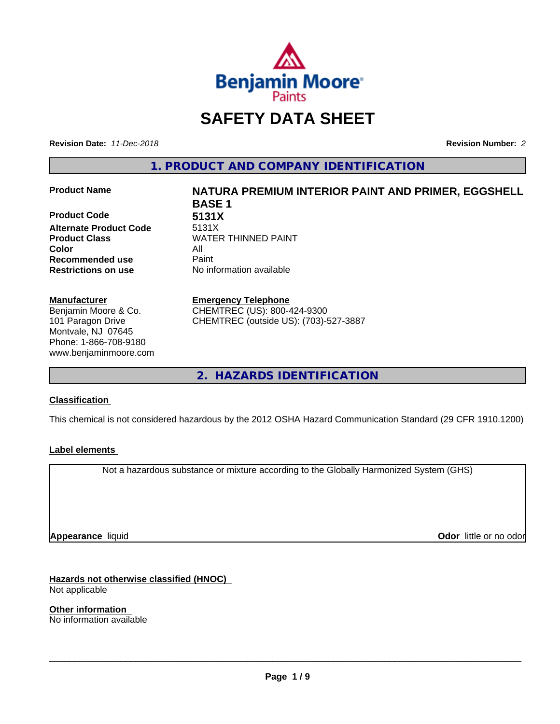

## **SAFETY DATA SHEET**

**Revision Date:** *11-Dec-2018* **Revision Number:** *2*

**1. PRODUCT AND COMPANY IDENTIFICATION**

**Product Code 6131X**<br> **Alternate Product Code** 5131X **Alternate Product Code Product Class WATER THINNED PAINT Color** All **Recommended use** Paint **Restrictions on use** No information available

#### **Manufacturer**

Benjamin Moore & Co. 101 Paragon Drive Montvale, NJ 07645 Phone: 1-866-708-9180 www.benjaminmoore.com

# **Product Name NATURA PREMIUM INTERIOR PAINT AND PRIMER, EGGSHELL BASE 1**

#### **Emergency Telephone**

CHEMTREC (US): 800-424-9300 CHEMTREC (outside US): (703)-527-3887

**2. HAZARDS IDENTIFICATION**

#### **Classification**

This chemical is not considered hazardous by the 2012 OSHA Hazard Communication Standard (29 CFR 1910.1200)

#### **Label elements**

Not a hazardous substance or mixture according to the Globally Harmonized System (GHS)

**Appearance** liquid

**Odor** little or no odor

**Hazards not otherwise classified (HNOC)** Not applicable

**Other information** No information available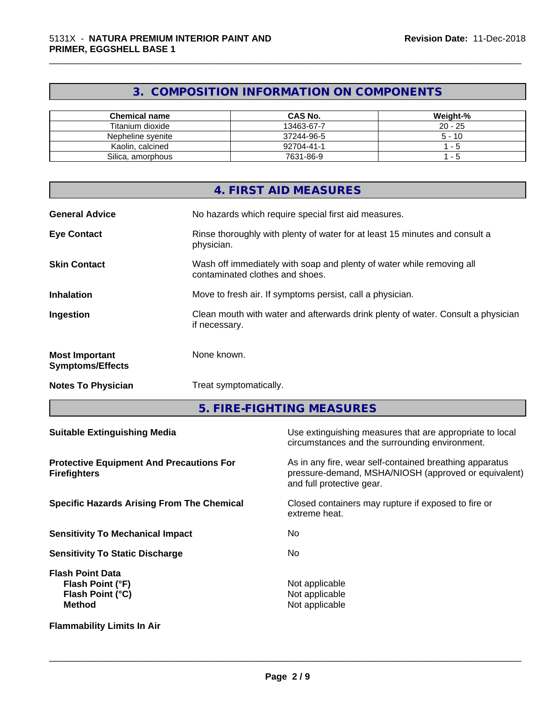## **3. COMPOSITION INFORMATION ON COMPONENTS**

\_\_\_\_\_\_\_\_\_\_\_\_\_\_\_\_\_\_\_\_\_\_\_\_\_\_\_\_\_\_\_\_\_\_\_\_\_\_\_\_\_\_\_\_\_\_\_\_\_\_\_\_\_\_\_\_\_\_\_\_\_\_\_\_\_\_\_\_\_\_\_\_\_\_\_\_\_\_\_\_\_\_\_\_\_\_\_\_\_\_\_\_\_

| <b>Chemical name</b> | <b>CAS No.</b> | Weight-%  |
|----------------------|----------------|-----------|
| Titanium dioxide     | 13463-67-7     | $20 - 25$ |
| Nepheline svenite    | 37244-96-5     | $5 - 10$  |
| Kaolin, calcined     | 92704-41-1     | - 5       |
| Silica, amorphous    | 7631-86-9      | - 5       |

|                                                  | 4. FIRST AID MEASURES                                                                                    |
|--------------------------------------------------|----------------------------------------------------------------------------------------------------------|
| <b>General Advice</b>                            | No hazards which require special first aid measures.                                                     |
| <b>Eye Contact</b>                               | Rinse thoroughly with plenty of water for at least 15 minutes and consult a<br>physician.                |
| <b>Skin Contact</b>                              | Wash off immediately with soap and plenty of water while removing all<br>contaminated clothes and shoes. |
| <b>Inhalation</b>                                | Move to fresh air. If symptoms persist, call a physician.                                                |
| Ingestion                                        | Clean mouth with water and afterwards drink plenty of water. Consult a physician<br>if necessary.        |
| <b>Most Important</b><br><b>Symptoms/Effects</b> | None known.                                                                                              |
| <b>Notes To Physician</b>                        | Treat symptomatically.                                                                                   |

**5. FIRE-FIGHTING MEASURES**

| <b>Suitable Extinguishing Media</b>                                              | Use extinguishing measures that are appropriate to local<br>circumstances and the surrounding environment.                                   |
|----------------------------------------------------------------------------------|----------------------------------------------------------------------------------------------------------------------------------------------|
| <b>Protective Equipment And Precautions For</b><br><b>Firefighters</b>           | As in any fire, wear self-contained breathing apparatus<br>pressure-demand, MSHA/NIOSH (approved or equivalent)<br>and full protective gear. |
| <b>Specific Hazards Arising From The Chemical</b>                                | Closed containers may rupture if exposed to fire or<br>extreme heat.                                                                         |
| <b>Sensitivity To Mechanical Impact</b>                                          | No.                                                                                                                                          |
| <b>Sensitivity To Static Discharge</b>                                           | No.                                                                                                                                          |
| <b>Flash Point Data</b><br>Flash Point (°F)<br>Flash Point (°C)<br><b>Method</b> | Not applicable<br>Not applicable<br>Not applicable                                                                                           |
| <b>Flammability Limits In Air</b>                                                |                                                                                                                                              |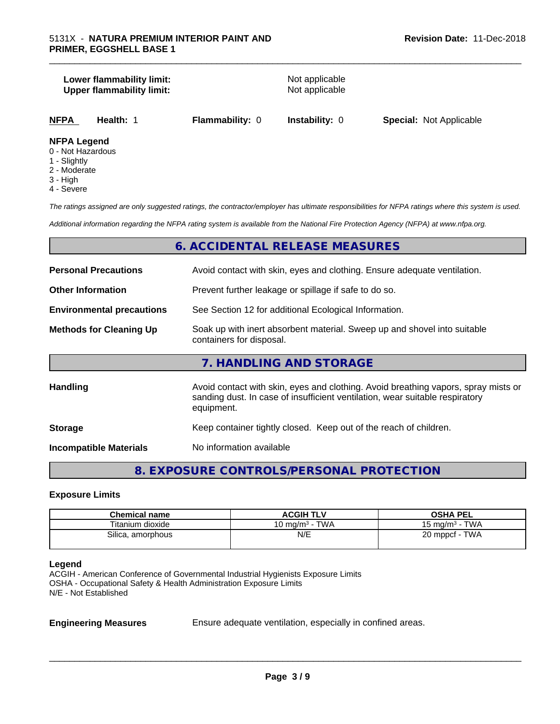#### **Lower flammability limit:**<br> **Upper flammability limit:**<br>
Upper flammability limit:<br>
Not applicable **Upper flammability limit:**

\_\_\_\_\_\_\_\_\_\_\_\_\_\_\_\_\_\_\_\_\_\_\_\_\_\_\_\_\_\_\_\_\_\_\_\_\_\_\_\_\_\_\_\_\_\_\_\_\_\_\_\_\_\_\_\_\_\_\_\_\_\_\_\_\_\_\_\_\_\_\_\_\_\_\_\_\_\_\_\_\_\_\_\_\_\_\_\_\_\_\_\_\_

**NFPA Health:** 1 **Flammability:** 0 **Instability:** 0 **Special:** Not Applicable

#### **NFPA Legend**

- 0 Not Hazardous
- 1 Slightly
- 2 Moderate
- 3 High
- 4 Severe

*The ratings assigned are only suggested ratings, the contractor/employer has ultimate responsibilities for NFPA ratings where this system is used.*

*Additional information regarding the NFPA rating system is available from the National Fire Protection Agency (NFPA) at www.nfpa.org.*

#### **6. ACCIDENTAL RELEASE MEASURES**

| <b>Personal Precautions</b>      | Avoid contact with skin, eyes and clothing. Ensure adequate ventilation.                                                                                                         |  |  |
|----------------------------------|----------------------------------------------------------------------------------------------------------------------------------------------------------------------------------|--|--|
| <b>Other Information</b>         | Prevent further leakage or spillage if safe to do so.                                                                                                                            |  |  |
| <b>Environmental precautions</b> | See Section 12 for additional Ecological Information.                                                                                                                            |  |  |
| <b>Methods for Cleaning Up</b>   | Soak up with inert absorbent material. Sweep up and shovel into suitable<br>containers for disposal.                                                                             |  |  |
|                                  | 7. HANDLING AND STORAGE                                                                                                                                                          |  |  |
| <b>Handling</b>                  | Avoid contact with skin, eyes and clothing. Avoid breathing vapors, spray mists or<br>sanding dust. In case of insufficient ventilation, wear suitable respiratory<br>equipment. |  |  |
| <b>Storage</b>                   | Keep container tightly closed. Keep out of the reach of children.                                                                                                                |  |  |
| <b>Incompatible Materials</b>    | No information available                                                                                                                                                         |  |  |

#### **8. EXPOSURE CONTROLS/PERSONAL PROTECTION**

#### **Exposure Limits**

| <b>Chemical name</b> | <b>ACGIH TLV</b>           | <b>OSHA PEL</b>                        |
|----------------------|----------------------------|----------------------------------------|
| Titanium dioxide     | 10 ma/m <sup>3</sup> - TWA | <b>TWA</b><br>15 mg/m <sup>3</sup> - . |
| Silica, amorphous    | N/E                        | 20 mppcf - TWA                         |

#### **Legend**

ACGIH - American Conference of Governmental Industrial Hygienists Exposure Limits OSHA - Occupational Safety & Health Administration Exposure Limits N/E - Not Established

**Engineering Measures** Ensure adequate ventilation, especially in confined areas.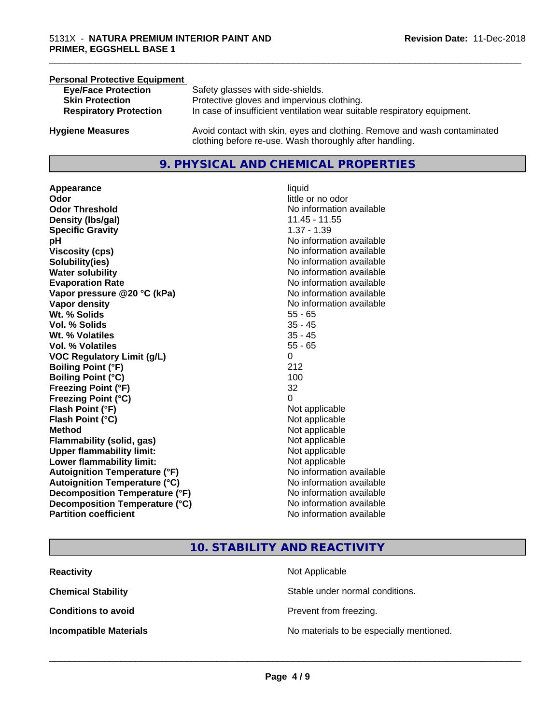| <b>Personal Protective Equipment</b> |                                                                                                                                     |
|--------------------------------------|-------------------------------------------------------------------------------------------------------------------------------------|
| <b>Eye/Face Protection</b>           | Safety glasses with side-shields.                                                                                                   |
| <b>Skin Protection</b>               | Protective gloves and impervious clothing.                                                                                          |
| <b>Respiratory Protection</b>        | In case of insufficient ventilation wear suitable respiratory equipment.                                                            |
| <b>Hygiene Measures</b>              | Avoid contact with skin, eyes and clothing. Remove and wash contaminated<br>clothing before re-use. Wash thoroughly after handling. |

#### **9. PHYSICAL AND CHEMICAL PROPERTIES**

**Appearance** liquid **Odor**<br> **Odor Threshold**<br> **Odor Threshold**<br> **CODOR**<br> **CODOR**<br> **CODOR**<br> **CODOR**<br> **CODOR**<br> **CODOR**<br> **CODOR**<br> **CODOR**<br> **CODOR**<br> **CODOR Density (lbs/gal)** 11.45 - 11.55 **Specific Gravity** 1.37 - 1.39 **pH pH**  $\blacksquare$ **Viscosity (cps)** No information available **Solubility(ies)** No information available **Water solubility** No information available **Evaporation Rate No information available No information available Vapor pressure @20 °C (kPa)** No information available **Vapor density No information available No information available Wt. % Solids** 55 - 65 **Vol. % Solids** 35 - 45 **Wt. % Volatiles** 35 - 45 **Vol. % Volatiles** 55 - 65 **VOC Regulatory Limit (g/L)** 0 **Boiling Point (°F)** 212 **Boiling Point**  $(°C)$  100 **Freezing Point (°F)** 32 **Freezing Point (°C)** 0 **Flash Point (°F)**<br> **Flash Point (°C)**<br> **Flash Point (°C)**<br> **Point (°C)**<br> **Point (°C)**<br> **Point (°C)**<br> **Point (°C)**<br> **Point (°C) Flash Point (°C) Method** Not applicable **Flammability (solid, gas)** Not applicable **Upper flammability limit:** Not applicable **Lower flammability limit:** Not applicable **Autoignition Temperature (°F)** No information available **Autoignition Temperature (°C)**<br> **Decomposition Temperature (°F)** No information available **Decomposition Temperature (°F)** No information available<br> **Decomposition Temperature (°C)** No information available **Decomposition Temperature (°C) Partition coefficient Contract Community No information available** 

**No information available** 

\_\_\_\_\_\_\_\_\_\_\_\_\_\_\_\_\_\_\_\_\_\_\_\_\_\_\_\_\_\_\_\_\_\_\_\_\_\_\_\_\_\_\_\_\_\_\_\_\_\_\_\_\_\_\_\_\_\_\_\_\_\_\_\_\_\_\_\_\_\_\_\_\_\_\_\_\_\_\_\_\_\_\_\_\_\_\_\_\_\_\_\_\_

#### **10. STABILITY AND REACTIVITY**

| <b>Reactivity</b>             | Not Applicable                           |
|-------------------------------|------------------------------------------|
| <b>Chemical Stability</b>     | Stable under normal conditions.          |
| <b>Conditions to avoid</b>    | Prevent from freezing.                   |
| <b>Incompatible Materials</b> | No materials to be especially mentioned. |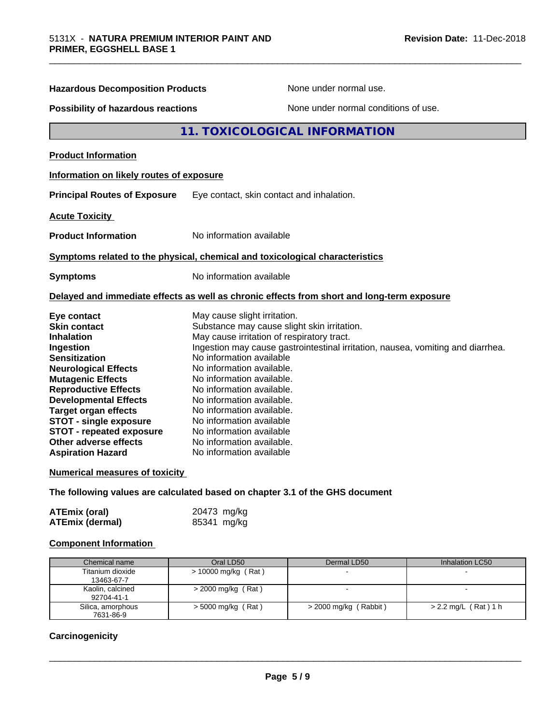| <b>Hazardous Decomposition Products</b>                                                                                                                                                                                                                                                                                                                                                                                 |                                                                                                                                                                                                                                                                                                                            | None under normal use.                                                                                                                                                       |                 |
|-------------------------------------------------------------------------------------------------------------------------------------------------------------------------------------------------------------------------------------------------------------------------------------------------------------------------------------------------------------------------------------------------------------------------|----------------------------------------------------------------------------------------------------------------------------------------------------------------------------------------------------------------------------------------------------------------------------------------------------------------------------|------------------------------------------------------------------------------------------------------------------------------------------------------------------------------|-----------------|
| <b>Possibility of hazardous reactions</b>                                                                                                                                                                                                                                                                                                                                                                               |                                                                                                                                                                                                                                                                                                                            | None under normal conditions of use.                                                                                                                                         |                 |
|                                                                                                                                                                                                                                                                                                                                                                                                                         |                                                                                                                                                                                                                                                                                                                            | 11. TOXICOLOGICAL INFORMATION                                                                                                                                                |                 |
| <b>Product Information</b>                                                                                                                                                                                                                                                                                                                                                                                              |                                                                                                                                                                                                                                                                                                                            |                                                                                                                                                                              |                 |
| Information on likely routes of exposure                                                                                                                                                                                                                                                                                                                                                                                |                                                                                                                                                                                                                                                                                                                            |                                                                                                                                                                              |                 |
| <b>Principal Routes of Exposure</b>                                                                                                                                                                                                                                                                                                                                                                                     |                                                                                                                                                                                                                                                                                                                            | Eye contact, skin contact and inhalation.                                                                                                                                    |                 |
| <b>Acute Toxicity</b>                                                                                                                                                                                                                                                                                                                                                                                                   |                                                                                                                                                                                                                                                                                                                            |                                                                                                                                                                              |                 |
| <b>Product Information</b>                                                                                                                                                                                                                                                                                                                                                                                              | No information available                                                                                                                                                                                                                                                                                                   |                                                                                                                                                                              |                 |
| Symptoms related to the physical, chemical and toxicological characteristics                                                                                                                                                                                                                                                                                                                                            |                                                                                                                                                                                                                                                                                                                            |                                                                                                                                                                              |                 |
| <b>Symptoms</b>                                                                                                                                                                                                                                                                                                                                                                                                         | No information available                                                                                                                                                                                                                                                                                                   |                                                                                                                                                                              |                 |
| Delayed and immediate effects as well as chronic effects from short and long-term exposure                                                                                                                                                                                                                                                                                                                              |                                                                                                                                                                                                                                                                                                                            |                                                                                                                                                                              |                 |
| Eye contact<br><b>Skin contact</b><br><b>Inhalation</b><br>Ingestion<br><b>Sensitization</b><br><b>Neurological Effects</b><br><b>Mutagenic Effects</b><br><b>Reproductive Effects</b><br><b>Developmental Effects</b><br><b>Target organ effects</b><br><b>STOT - single exposure</b><br><b>STOT - repeated exposure</b><br>Other adverse effects<br><b>Aspiration Hazard</b><br><b>Numerical measures of toxicity</b> | May cause slight irritation.<br>No information available<br>No information available.<br>No information available.<br>No information available.<br>No information available.<br>No information available.<br>No information available<br>No information available<br>No information available.<br>No information available | Substance may cause slight skin irritation.<br>May cause irritation of respiratory tract.<br>Ingestion may cause gastrointestinal irritation, nausea, vomiting and diarrhea. |                 |
| The following values are calculated based on chapter 3.1 of the GHS document                                                                                                                                                                                                                                                                                                                                            |                                                                                                                                                                                                                                                                                                                            |                                                                                                                                                                              |                 |
| <b>ATEmix (oral)</b><br><b>ATEmix (dermal)</b>                                                                                                                                                                                                                                                                                                                                                                          | 20473 mg/kg<br>85341 mg/kg                                                                                                                                                                                                                                                                                                 |                                                                                                                                                                              |                 |
| <b>Component Information</b>                                                                                                                                                                                                                                                                                                                                                                                            |                                                                                                                                                                                                                                                                                                                            |                                                                                                                                                                              |                 |
| Chemical name                                                                                                                                                                                                                                                                                                                                                                                                           | Oral LD50                                                                                                                                                                                                                                                                                                                  | Dermal LD50                                                                                                                                                                  | Inhalation LC50 |

| Chemical name     | Oral LD50             | Dermal LD50             | Inhalation LC50        |
|-------------------|-----------------------|-------------------------|------------------------|
| Titanium dioxide  | $> 10000$ mg/kg (Rat) |                         |                        |
| 13463-67-7        |                       |                         |                        |
| Kaolin, calcined  | $>$ 2000 mg/kg (Rat)  |                         |                        |
| 92704-41-1        |                       |                         |                        |
| Silica, amorphous | $>$ 5000 mg/kg (Rat)  | $>$ 2000 mg/kg (Rabbit) | $> 2.2$ mg/L (Rat) 1 h |
| 7631-86-9         |                       |                         |                        |

#### **Carcinogenicity**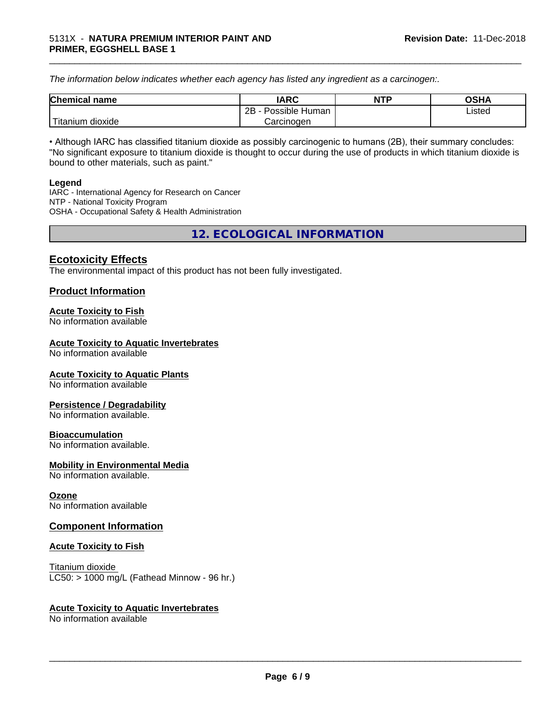*The information below indicateswhether each agency has listed any ingredient as a carcinogen:.*

| <b>Chemical</b><br>name  | <b>IARC</b>                    | <b>NTP</b> | <b>OSHA</b> |
|--------------------------|--------------------------------|------------|-------------|
|                          | . .<br>2B<br>Possible<br>Human |            | Listed<br>. |
| .<br>dioxide<br>⊺itanium | Carcinogen                     |            |             |

\_\_\_\_\_\_\_\_\_\_\_\_\_\_\_\_\_\_\_\_\_\_\_\_\_\_\_\_\_\_\_\_\_\_\_\_\_\_\_\_\_\_\_\_\_\_\_\_\_\_\_\_\_\_\_\_\_\_\_\_\_\_\_\_\_\_\_\_\_\_\_\_\_\_\_\_\_\_\_\_\_\_\_\_\_\_\_\_\_\_\_\_\_

• Although IARC has classified titanium dioxide as possibly carcinogenic to humans (2B), their summary concludes: "No significant exposure to titanium dioxide is thought to occur during the use of products in which titanium dioxide is bound to other materials, such as paint."

#### **Legend**

IARC - International Agency for Research on Cancer NTP - National Toxicity Program OSHA - Occupational Safety & Health Administration

**12. ECOLOGICAL INFORMATION**

#### **Ecotoxicity Effects**

The environmental impact of this product has not been fully investigated.

#### **Product Information**

#### **Acute Toxicity to Fish**

No information available

#### **Acute Toxicity to Aquatic Invertebrates**

No information available

#### **Acute Toxicity to Aquatic Plants**

No information available

#### **Persistence / Degradability**

No information available.

#### **Bioaccumulation**

No information available.

#### **Mobility in Environmental Media**

No information available.

#### **Ozone**

No information available

#### **Component Information**

#### **Acute Toxicity to Fish**

Titanium dioxide  $LC50:$  > 1000 mg/L (Fathead Minnow - 96 hr.)

#### **Acute Toxicity to Aquatic Invertebrates**

No information available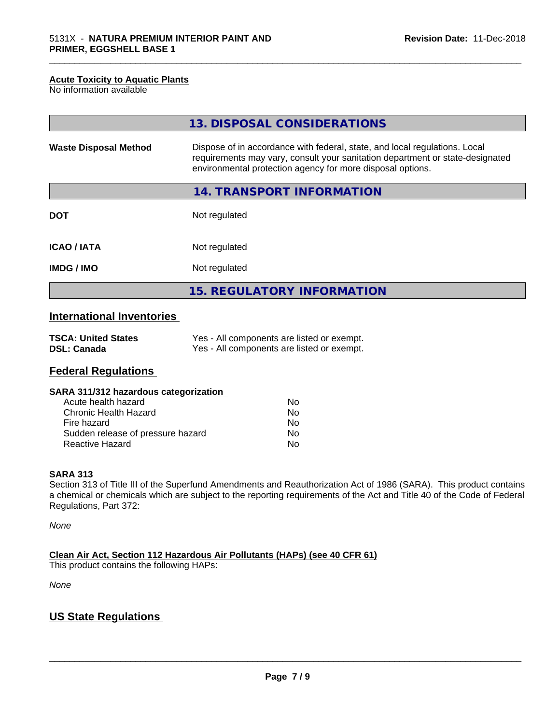#### **Acute Toxicity to Aquatic Plants**

No information available

|                              | 13. DISPOSAL CONSIDERATIONS                                                                                                                                                                                               |
|------------------------------|---------------------------------------------------------------------------------------------------------------------------------------------------------------------------------------------------------------------------|
| <b>Waste Disposal Method</b> | Dispose of in accordance with federal, state, and local regulations. Local<br>requirements may vary, consult your sanitation department or state-designated<br>environmental protection agency for more disposal options. |
|                              | 14. TRANSPORT INFORMATION                                                                                                                                                                                                 |
| <b>DOT</b>                   | Not regulated                                                                                                                                                                                                             |
| <b>ICAO/IATA</b>             | Not regulated                                                                                                                                                                                                             |
| <b>IMDG/IMO</b>              | Not regulated                                                                                                                                                                                                             |
|                              | 15. REGULATORY INFORMATION                                                                                                                                                                                                |

\_\_\_\_\_\_\_\_\_\_\_\_\_\_\_\_\_\_\_\_\_\_\_\_\_\_\_\_\_\_\_\_\_\_\_\_\_\_\_\_\_\_\_\_\_\_\_\_\_\_\_\_\_\_\_\_\_\_\_\_\_\_\_\_\_\_\_\_\_\_\_\_\_\_\_\_\_\_\_\_\_\_\_\_\_\_\_\_\_\_\_\_\_

### **International Inventories**

| <b>TSCA: United States</b> | Yes - All components are listed or exempt. |
|----------------------------|--------------------------------------------|
| <b>DSL: Canada</b>         | Yes - All components are listed or exempt. |

#### **Federal Regulations**

| SARA 311/312 hazardous categorization |     |  |
|---------------------------------------|-----|--|
| Acute health hazard                   | Nο  |  |
| Chronic Health Hazard                 | No. |  |
| Fire hazard                           | Nο  |  |

Sudden release of pressure hazard No Reactive Hazard No

#### **SARA 313**

Section 313 of Title III of the Superfund Amendments and Reauthorization Act of 1986 (SARA). This product contains a chemical or chemicals which are subject to the reporting requirements of the Act and Title 40 of the Code of Federal Regulations, Part 372:

*None*

**Clean Air Act,Section 112 Hazardous Air Pollutants (HAPs) (see 40 CFR 61)**

This product contains the following HAPs:

*None*

#### **US State Regulations**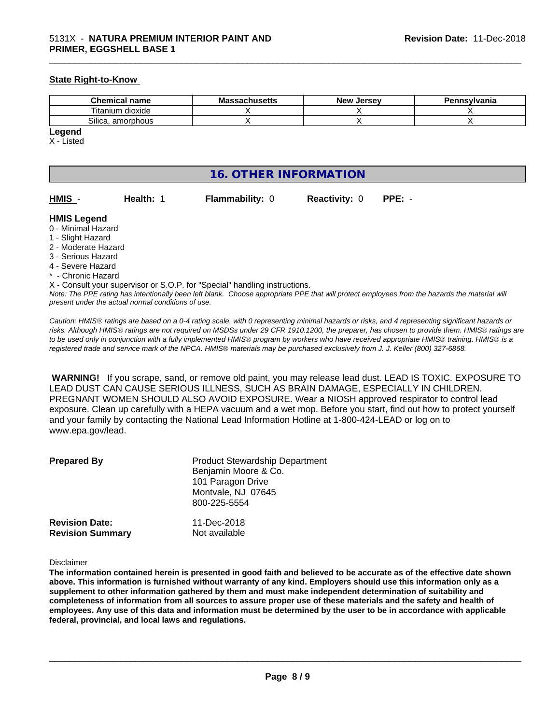#### **State Right-to-Know**

| <b>Chemical name</b>           | <br>MЭ<br>saunuscus | <b>Jerse</b> v<br>Nev <b>N</b> | Pennsylvania |
|--------------------------------|---------------------|--------------------------------|--------------|
| ÷.<br><br>l itanium<br>dioxide |                     |                                |              |
| ~…<br>Silica<br>amorphous      |                     |                                |              |

\_\_\_\_\_\_\_\_\_\_\_\_\_\_\_\_\_\_\_\_\_\_\_\_\_\_\_\_\_\_\_\_\_\_\_\_\_\_\_\_\_\_\_\_\_\_\_\_\_\_\_\_\_\_\_\_\_\_\_\_\_\_\_\_\_\_\_\_\_\_\_\_\_\_\_\_\_\_\_\_\_\_\_\_\_\_\_\_\_\_\_\_\_

#### **Legend**

X - Listed

#### **16. OTHER INFORMATION**

| HMIS | <b>Health: 1</b> | <b>Flammability: 0</b> | <b>Reactivity: 0</b> | $PPE: -$ |
|------|------------------|------------------------|----------------------|----------|

#### **HMIS Legend**

- 0 Minimal Hazard
- 1 Slight Hazard
- 2 Moderate Hazard
- 3 Serious Hazard
- 4 Severe Hazard
- <sup>\*</sup> Chronic Hazard
- X Consult your supervisor or S.O.P. for "Special" handling instructions.

*Note: The PPE rating has intentionally been left blank. Choose appropriate PPE that will protect employees from the hazards the material will present under the actual normal conditions of use.*

*Caution: HMISÒ ratings are based on a 0-4 rating scale, with 0 representing minimal hazards or risks, and 4 representing significant hazards or risks. Although HMISÒ ratings are not required on MSDSs under 29 CFR 1910.1200, the preparer, has chosen to provide them. HMISÒ ratings are to be used only in conjunction with a fully implemented HMISÒ program by workers who have received appropriate HMISÒ training. HMISÒ is a registered trade and service mark of the NPCA. HMISÒ materials may be purchased exclusively from J. J. Keller (800) 327-6868.*

 **WARNING!** If you scrape, sand, or remove old paint, you may release lead dust. LEAD IS TOXIC. EXPOSURE TO LEAD DUST CAN CAUSE SERIOUS ILLNESS, SUCH AS BRAIN DAMAGE, ESPECIALLY IN CHILDREN. PREGNANT WOMEN SHOULD ALSO AVOID EXPOSURE.Wear a NIOSH approved respirator to control lead exposure. Clean up carefully with a HEPA vacuum and a wet mop. Before you start, find out how to protect yourself and your family by contacting the National Lead Information Hotline at 1-800-424-LEAD or log on to www.epa.gov/lead.

| <b>Prepared By</b>                               | <b>Product Stewardship Department</b><br>Benjamin Moore & Co.<br>101 Paragon Drive<br>Montvale, NJ 07645<br>800-225-5554 |  |
|--------------------------------------------------|--------------------------------------------------------------------------------------------------------------------------|--|
| <b>Revision Date:</b><br><b>Revision Summary</b> | 11-Dec-2018<br>Not available                                                                                             |  |

#### Disclaimer

The information contained herein is presented in good faith and believed to be accurate as of the effective date shown above. This information is furnished without warranty of any kind. Employers should use this information only as a **supplement to other information gathered by them and must make independent determination of suitability and** completeness of information from all sources to assure proper use of these materials and the safety and health of employees. Any use of this data and information must be determined by the user to be in accordance with applicable **federal, provincial, and local laws and regulations.**